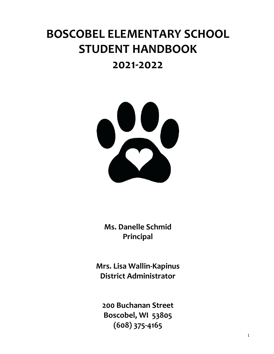# **BOSCOBEL ELEMENTARY SCHOOL STUDENT HANDBOOK**

# **2021-2022**



**Ms. Danelle Schmid Principal**

**Mrs. Lisa Wallin-Kapinus District Administrator**

**200 Buchanan Street Boscobel, WI 53805 (608) 375-4165**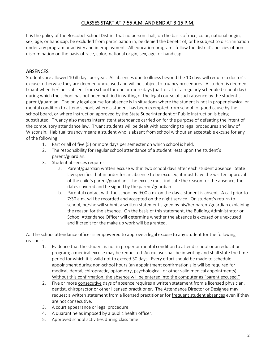# CLASSES START AT 7:55 A.M. AND END AT 3:15 P.M.

It is the policy of the Boscobel School District that no person shall, on the basis of race, color, national origin, sex, age, or handicap, be excluded from participation in, be denied the benefit of, or be subject to discrimination under any program or activity and in employment. All education programs follow the district's policies of nondiscrimination on the basis of race, color, national origin, sex, age, or handicap.

#### **ABSENCES**

Students are allowed 10 ill days per year. All absences due to illness beyond the 10 days will require a doctor's excuse, otherwise they are deemed unexcused and will be subject to truancy procedures. A student is deemed truant when he/she is absent from school for one or more days (part or all of a regularly scheduled school day) during which the school has not been notified in writing of the legal course of such absence by the student's parent/guardian. The only legal course for absence is in situations where the student is not in proper physical or mental condition to attend school, where a student has been exempted from school for good cause by the school board, or where instruction approved by the State Superintendent of Public Instruction is being substituted. Truancy also means intermittent attendance carried on for the purpose of defeating the intent of the compulsory attendance law. Truant students will be dealt with according to legal procedures and law of Wisconsin. Habitual truancy means a student who is absent from school without an acceptable excuse for any of the following:

- 1. Part or all of five (5) or more days per semester on which school is held.
- 2. The responsibility for regular school attendance of a student rests upon the student's parent/guardian.
- 3. Student absences requires:
	- a. Parent/guardian written excuse within two school days after each student absence. State law specifies that in order for an absence to be excused, it must have the written approval of the child's parent/guardian. The excuse must indicate the reason for the absence; the dates covered and be signed by the parent/guardian.
	- b. Parental contact with the school by 9:00 a.m. on the day a student is absent. A call prior to 7:30 a.m. will be recorded and accepted on the night service. On student's return to school, he/she will submit a written statement signed by his/her parent/guardian explaining the reason for the absence. On the basis of this statement, the Building Administrator or School Attendance Officer will determine whether the absence is excused or unexcused and if credit for the make up work will be granted.

A. The school attendance officer is empowered to approve a legal excuse to any student for the following reasons:

- 1. Evidence that the student is not in proper or mental condition to attend school or an education program; a medical excuse may be requested. An excuse shall be in writing and shall state the time period for which it is valid not to exceed 30 days. Every effort should be made to schedule appointment during non-school hours (an appointment confirmation slip will be required for medical, dental, chiropractic, optometry, psychological, or other valid medical appointments). Without this confirmation, the absence will be entered into the computer as "parent excused."
- 2. Five or more consecutive days of absence requires a written statement from a licensed physician, dentist, chiropractor or other licensed practitioner. The Attendance Director or Designee may request a written statement from a licensed practitioner for frequent student absences even if they are not consecutive.
- 3. A court appearance or legal procedure.
- 4. A quarantine as imposed by a public health officer.
- 5. Approved school activities during class time.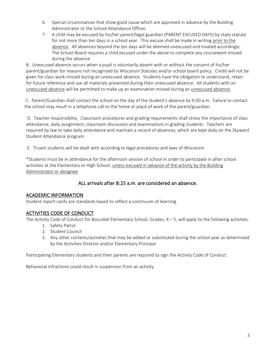- 6. Special circumstances that show good cause which are approved in advance by the Building Administrator or the School Attendance Officer.
- 7. A child may be excused by his/her parent/legal guardian (PARENT EXCUSED DAYS) by state statute for not more than ten days in a school year. This excuse shall be made in writing prior to the absence. All absences beyond the ten days will be deemed unexcused and treated accordingly. The School Board requires a child excused under the above to complete any coursework missed during the absence.

B. Unexcused absence occurs when a pupil is voluntarily absent with or without the consent of his/her parent/guardian for reasons not recognized by Wisconsin Statutes and/or school board policy. Credit will not be given for class work missed during an unexcused absence. Students have the obligation to understand, retain for future reference and use all materials presented during their unexcused absence. All students with an unexcused absence will be permitted to make up an examination missed during an unexcused absence.

C. Parent/Guardian shall contact the school on the day of the student's absence by 9:00 a.m. Failure to contact the school may result in a telephone call to the home or place of work of the parent/guardian.

D. Teacher responsibility. Classroom procedures and grading requirements shall stress the importance of class attendance, daily assignment, classroom discussion and examinations in grading students. Teachers are required by law to take daily attendance and maintain a record of absences, which are kept daily on the Skyward Student Attendance program.

E. Truant students will be dealt with according to legal procedures and laws of Wisconsin.

\*Students must be in attendance for the afternoon session of school in order to participate in after school activities at the Elementary or High School, unless excused in advance of the activity by the Building Administrator or designee.

# ALL arrivals after 8:25 a.m. are considered an absence.

#### ACADEMIC INFORMATION

Student report cards are standards based to reflect a continuum of learning.

# ACTIVITIES CODE OF CONDUCT

The Activity Code of Conduct for Boscobel Elementary School, Grades,  $4 - 5$ , will apply to the following activities:

- 1. Safety Patrol
- 2. Student Council
- 3. Any other contests/activities that may be added or substituted during the school year as determined by the Activities Director and/or Elementary Principal.

Participating Elementary students and their parents are required to sign the Activity Code of Conduct.

Behavioral infractions could result in suspension from an activity.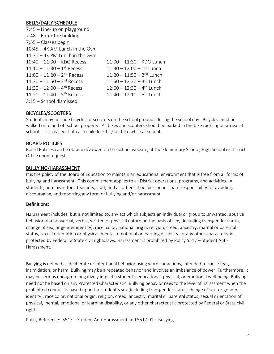#### BELLS/DAILY SCHEDULE

| $7:45$ - Line-up on playground           |                                         |
|------------------------------------------|-----------------------------------------|
| $7:48$ – Enter the building              |                                         |
| $7:55$ - Classes begin                   |                                         |
| 10:45 - 4K AM Lunch in the Gym           |                                         |
| 11:30 - 4K PM Lunch in the Gym           |                                         |
| $10:40 - 11:00 - KDG$ Recess             | $11:00 - 11:30 - KDG$ Lunch             |
| $11:10 - 11:30 - 1$ <sup>st</sup> Recess | $11:30 - 12:00 - 1$ <sup>st</sup> Lunch |
| $11:00 - 11:20 - 2^{nd}$ Recess          | $11:20 - 11:50 - 2^{nd}$ Lunch          |
| $11:30 - 11:50 - 3^{rd}$ Recess          | $11:50 - 12:20 - 3^{rd}$ Lunch          |
| $11:30 - 12:00 - 4$ <sup>th</sup> Recess | $12:00 - 12:30 - 4$ <sup>th</sup> Lunch |
| $11:20 - 11:40 - 5$ <sup>th</sup> Recess | $11:40 - 12:10 - 5$ <sup>th</sup> Lunch |
| 3:15 - School dismissed                  |                                         |

#### BICYCLES/SCOOTERS

Students may not ride bicycles or scooters on the school grounds during the school day. Bicycles must be walked onto and off school property. All bikes and scooters should be parked in the bike racks upon arrival at school. It is advised that each child lock his/her bike while at school.

#### BOARD POLICIES

Board Policies can be obtained/viewed on the school website, at the Elementary School, High School or District Office upon request.

#### BULLYING/HARASSMENT

It is the policy of the Board of Education to maintain an educational environment that is free from all forms of bullying and harassment. This commitment applies to all District operations, programs, and activities. All students, administrators, teachers, staff, and all other school personnel share responsibility for avoiding, discouraging, and reporting any form of bullying and/or harassment.

#### Definitions:

Harassment includes, but is not limited to, any act which subjects an individual or group to unwanted, abusive behavior of a nonverbal, verbal, written or physical nature on the basis of sex, (including transgender status, change of sex, or gender identity), race, color, national origin, religion, creed, ancestry, marital or parental status, sexual orientation or physical, mental, emotional or learning disability, or any other characteristic protected by Federal or State civil rights laws. Harassment is prohibited by Policy 5517 – Student Anti-Harassment.

Bullying is defined as deliberate or intentional behavior using words or actions, intended to cause fear, intimidation, or harm. Bullying may be a repeated behavior and involves an imbalance of power. Furthermore, it may be serious enough to negatively impact a student's educational, physical, or emotional well-being. Bullying need not be based on any Protected Characteristic. Bullying behavior rises to the level of harassment when the prohibited conduct is based upon the student's sex (including transgender status, change of sex, or gender identity), race color, national origin, religion, creed, ancestry, marital or parental status, sexual orientation of physical, mental, emotional or learning disability, or any other characteristic protected by Federal or State civil rights.

Policy Reference: 5517 – Student Anti-Harassment and 5517.01 – Bullying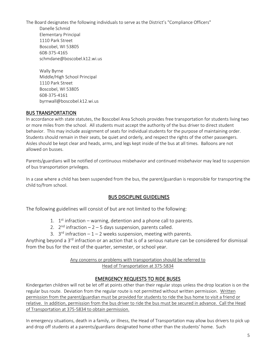The Board designates the following individuals to serve as the District's "Compliance Officers" Danelle Schmid Elementary Principal 1110 Park Street

Boscobel, WI 53805 608-375-4165 schmdane@boscobel.k12.wi.us

Wally Byrne Middle/High School Principal 1110 Park Street Boscobel, WI 53805 608-375-4161 byrnwall@boscobel.k12.wi.us

# BUS TRANSPORTATION

In accordance with state statutes, the Boscobel Area Schools provides free transportation for students living two or more miles from the school. All students must accept the authority of the bus driver to direct student behavior. This may include assignment of seats for individual students for the purpose of maintaining order. Students should remain in their seats, be quiet and orderly, and respect the rights of the other passengers. Aisles should be kept clear and heads, arms, and legs kept inside of the bus at all times. Balloons are not allowed on busses.

Parents/guardians will be notified of continuous misbehavior and continued misbehavior may lead to suspension of bus transportation privileges.

In a case where a child has been suspended from the bus, the parent/guardian is responsible for transporting the child to/from school.

# BUS DISCIPLINE GUIDELINES

The following guidelines will consist of but are not limited to the following:

- 1.  $1<sup>st</sup>$  infraction warning, detention and a phone call to parents.
- 2.  $2^{nd}$  infraction  $-2 5$  days suspension, parents called.
- 3.  $3^{rd}$  infraction  $-1 2$  weeks suspension, meeting with parents.

Anything beyond a 3<sup>rd</sup> infraction or an action that is of a serious nature can be considered for dismissal from the bus for the rest of the quarter, semester, or school year.

#### Any concerns or problems with transportation should be referred to Head of Transportation at 375-5834

# EMERGENCY REQUESTS TO RIDE BUSES

Kindergarten children will not be let off at points other than their regular stops unless the drop location is on the regular bus route. Deviation from the regular route is not permitted without written permission. Written permission from the parent/guardian must be provided for students to ride the bus home to visit a friend or relative. In addition, permission from the bus driver to ride the bus must be secured in advance. Call the Head of Transportation at 375-5834 to obtain permission.

In emergency situations, death in a family, or illness, the Head of Transportation may allow bus drivers to pick up and drop off students at a parents/guardians designated home other than the students' home. Such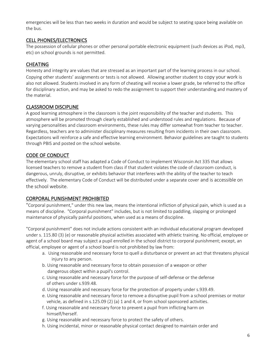emergencies will be less than two weeks in duration and would be subject to seating space being available on the bus.

#### CELL PHONES/ELECTRONICS

The possession of cellular phones or other personal portable electronic equipment (such devices as iPod, mp3, etc) on school grounds is not permitted.

# CHEATING

Honesty and integrity are values that are stressed as an important part of the learning process in our school. Copying other students' assignments or tests is not allowed. Allowing another student to copy your work is also not allowed. Students involved in any form of cheating will receive a lower grade, be referred to the office for disciplinary action, and may be asked to redo the assignment to support their understanding and mastery of the material.

# CLASSROOM DISCIPLINE

A good learning atmosphere in the classroom is the joint responsibility of the teacher and students. This atmosphere will be promoted through clearly established and understood rules and regulations. Because of varying personalities and classroom environments, these rules may differ somewhat from teacher to teacher. Regardless, teachers are to administer disciplinary measures resulting from incidents in their own classroom. Expectations will reinforce a safe and effective learning environment. Behavior guidelines are taught to students through PBIS and posted on the school website.

# CODE OF CONDUCT

The elementary school staff has adapted a Code of Conduct to implement Wisconsin Act 335 that allows licensed teachers to remove a student from class if that student violates the code of classroom conduct, is dangerous, unruly, disruptive, or exhibits behavior that interferes with the ability of the teacher to teach effectively. The elementary Code of Conduct will be distributed under a separate cover and is accessible on the school website.

#### CORPORAL PUNISHMENT PROHIBITED

"Corporal punishment," under this new law, means the intentional infliction of physical pain, which is used as a means of discipline. "Corporal punishment" includes, but is not limited to paddling, slapping or prolonged maintenance of physically painful positions, when used as a means of discipline.

"Corporal punishment" does not include actions consistent with an individual educational program developed under s. 115.80 (3) (e) or reasonable physical activities associated with athletic training. No official, employee or agent of a school board may subject a pupil enrolled in the school district to corporal punishment; except, an official, employee or agent of a school board is not prohibited by law from:

- a. Using reasonable and necessary force to quell a disturbance or prevent an act that threatens physical injury to any person.
- b. Using reasonable and necessary force to obtain possession of a weapon or other dangerous object within a pupil's control.
- c. Using reasonable and necessary force for the purpose of self-defense or the defense of others under s.939.48.
- d. Using reasonable and necessary force for the protection of property under s.939.49.
- e. Using reasonable and necessary force to remove a disruptive pupil from a school premises or motor vehicle, as defined in s.125.09 (2) (a) 1 and 4, or from school sponsored activities.
- f. Using reasonable and necessary force to prevent a pupil from inflicting harm on himself/herself.
- g. Using reasonable and necessary force to protect the safety of others.
- h. Using incidental, minor or reasonable physical contact designed to maintain order and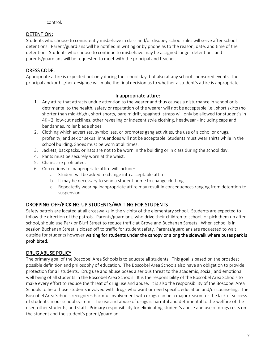control.

# DETENTION:

Students who choose to consistently misbehave in class and/or disobey school rules will serve after school detentions. Parent/guardians will be notified in writing or by phone as to the reason, date, and time of the detention. Students who choose to continue to misbehave may be assigned longer detentions and parents/guardians will be requested to meet with the principal and teacher.

# DRESS CODE:

Appropriate attire is expected not only during the school day, but also at any school-sponsored events. The principal and/or his/her designee will make the final decision as to whether a student's attire is appropriate.

# Inappropriate attire:

- 1. Any attire that attracts undue attention to the wearer and thus causes a disturbance in school or is detrimental to the health, safety or reputation of the wearer will not be acceptable i.e., short skirts (no shorter than mid-thigh), short shorts, bare midriff, spaghetti straps will only be allowed for student's in 4K - 2, low-cut necklines, other revealing or indecent style clothing, headwear - including caps and bandannas, roller blade shoes.
- 2. Clothing which advertises, symbolizes, or promotes gang activities, the use of alcohol or drugs, profanity, and sex or sexual innuendoes will not be acceptable. Students must wear shirts while in the school building. Shoes must be worn at all times.
- 3. Jackets, backpacks, or hats are not to be worn in the building or in class during the school day.
- 4. Pants must be securely worn at the waist.
- 5. Chains are prohibited.
- 6. Corrections to inappropriate attire will include:
	- a. Student will be asked to change into acceptable attire.
	- b. It may be necessary to send a student home to change clothing.
	- c. Repeatedly wearing inappropriate attire may result in consequences ranging from detention to suspension.

# DROPPING-OFF/PICKING-UP STUDENTS/WAITING FOR STUDENTS

Safety patrols are located at all crosswalks in the vicinity of the elementary school. Students are expected to follow the direction of the patrols. Parents/guardians, who drive their children to school, or pick them up after school, should use Park or Bluff Street to reduce traffic at Grove and Buchanan Streets. When school is in session Buchanan Street is closed off to traffic for student safety. Parents/guardians are requested to wait outside for students however waiting for students under the canopy or along the sidewalk where buses park is prohibited.

# DRUG ABUSE POLICY

The primary goal of the Boscobel Area Schools is to educate all students. This goal is based on the broadest possible definition and philosophy of education. The Boscobel Area Schools also have an obligation to provide protection for all students. Drug use and abuse poses a serious threat to the academic, social, and emotional well being of all students in the Boscobel Area Schools. It is the responsibility of the Boscobel Area Schools to make every effort to reduce the threat of drug use and abuse. It is also the responsibility of the Boscobel Area Schools to help those students involved with drugs who want or need specific education and/or counseling. The Boscobel Area Schools recognizes harmful involvement with drugs can be a major reason for the lack of success of students in our school system. The use and abuse of drugs is harmful and detrimental to the welfare of the user, other students, and staff. Primary responsibility for eliminating student's abuse and use of drugs rests on the student and the student's parent/guardian.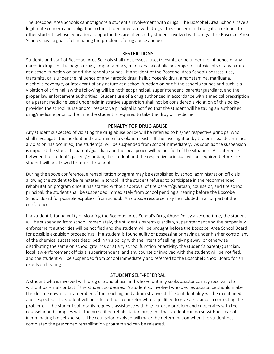The Boscobel Area Schools cannot ignore a student's involvement with drugs. The Boscobel Area Schools have a legitimate concern and obligation to the student involved with drugs. This concern and obligation extends to other students whose educational opportunities are affected by student involved with drugs. The Boscobel Area Schools have a goal of eliminating the problem of drug abuse and use.

#### **RESTRICTIONS**

Students and staff of Boscobel Area Schools shall not possess, use, transmit, or be under the influence of any narcotic drugs, hallucinogen drugs, amphetamines, marijuana, alcoholic beverages or intoxicants of any nature at a school function on or off the school grounds. If a student of the Boscobel Area Schools possess, use, transmits, or is under the influence of any narcotic drug, hallucinogenic drug, amphetamine, marijuana, alcoholic beverage, or intoxicant of any nature at a school function on or off the school grounds and such is a violation of criminal law the following will be notified: principal, superintendent, parents/guardians, and the proper law enforcement authorities. Student use of a drug authorized in accordance with a medical prescription or a patent medicine used under administrative supervision shall not be considered a violation of this policy provided the school nurse and/or respective principal is notified that the student will be taking an authorized drug/medicine prior to the time the student is required to take the drug or medicine.

# PENALTY FOR DRUG ABUSE

Any student suspected of violating the drug abuse policy will be referred to his/her respective principal who shall investigate the incident and determine if a violation exists. If the investigation by the principal determines a violation has occurred, the student(s) will be suspended from school immediately. As soon as the suspension is imposed the student's parent/guardian and the local police will be notified of the situation. A conference between the student's parent/guardian, the student and the respective principal will be required before the student will be allowed to return to school.

During the above conference, a rehabilitation program may be established by school administration officials allowing the student to be reinstated in school. If the student refuses to participate in the recommended rehabilitation program once it has started without approval of the parent/guardian, counselor, and the school principal, the student shall be suspended immediately from school pending a hearing before the Boscobel School Board for possible expulsion from school. An outside resource may be included in all or part of the conference.

If a student is found guilty of violating the Boscobel Area School's Drug Abuse Policy a second time, the student will be suspended from school immediately, the student's parent/guardian, superintendent and the proper law enforcement authorities will be notified and the student will be brought before the Boscobel Area School Board for possible expulsion proceedings. If a student is found guilty of possessing or having under his/her control any of the chemical substances described in this policy with the intent of selling, giving away, or otherwise distributing the same on school grounds or at any school function or activity, the student's parent/guardian, local law enforcement officials, superintendent, and any counselor involved with the student will be notified, and the student will be suspended from school immediately and referred to the Boscobel School Board for an expulsion hearing.

# STUDENT SELF-REFERRAL

A student who is involved with drug use and abuse and who voluntarily seeks assistance may receive help without parental contact if the student so desires. A student so involved who desires assistance should make this desire known to any member of the teaching and administrative staff. Confidentiality will be maintained and respected. The student will be referred to a counselor who is qualified to give assistance in correcting the problem. If the student voluntarily requests assistance with his/her drug problem and cooperates with the counselor and complies with the prescribed rehabilitation program, that student can do so without fear of incriminating himself/herself. The counselor involved will make the determination when the student has completed the prescribed rehabilitation program and can be released.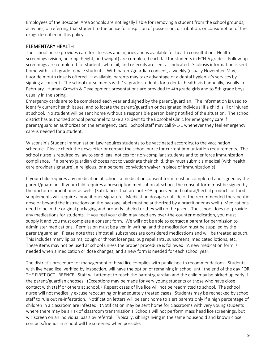Employees of the Boscobel Area Schools are not legally liable for removing a student from the school grounds, activities, or referring that student to the police for suspicion of possession, distribution, or consumption of the drugs described in this policy.

#### ELEMENTARY HEALTH

The school nurse provides care for illnesses and injuries and is available for health consultation. Health screenings (vision, hearing, height, and weight) are completed each fall for students in ECH-5 grades. Follow-up screenings are completed for students who fail, and referrals are sent as indicated. Scoliosis information is sent home with sixth grade female students. With parent/guardian consent, a weekly (usually November-May) fluoride mouth rinse is offered. If available, parents may take advantage of a dental hygienist's services by signing a consent. The school nurse meets with 1st grade students for a dental health visit annually, usually in February. Human Growth & Development presentations are provided to 4th grade girls and to 5th grade boys, usually in the spring.

Emergency cards are to be completed each year and signed by the parent/guardian. The information is used to identify current health issues, and to locate the parent/guardian or designated individual if a child is ill or injured at school. No student will be sent home without a responsible person being notified of the situation. The school district has authorized school personnel to take a student to the Boscobel Clinic for emergency care if parent/guardian authorizes on the emergency card. School staff may call 9-1-1 whenever they feel emergency care is needed for a student.

Wisconsin's Student Immunization Law requires students to be vaccinated according to the vaccination schedule. Please check the newsletter or contact the school nurse for current immunization requirements. The school nurse is required by law to send legal notices for non-compliant students and to enforce immunization compliance. If a parent/guardian chooses not to vaccinate their child, they must submit a medical (with health care provider signature), a religious, or a personal conviction waiver in place of immunization(s).

If your child requires any medication at school, a medication consent form must be completed and signed by the parent/guardian. If your child requires a prescription medication at school, the consent form must be signed by the doctor or practitioner as well. (Substances that are not FDA approved and natural/herbal products or food supplements will require a practitioner signature. Medication dosages outside of the recommended therapeutic dose or beyond the instructions on the package label must be authorized by a practitioner as well.) Medications need to be in the original packaging and properly labeled or they will not be given. The school does not provide any medications for students. If you feel your child may need any over-the-counter medication, you must supply it and you must complete a consent form. We will not be able to contact a parent for permission to administer medications. Permission must be given in writing, and the medication must be supplied by the parent/guardian. Please note that almost all substances are considered medications and will be treated as such. This includes many lip balms, cough or throat lozenges, bug repellants, sunscreens, medicated lotions, etc. These items may not be used at school unless the proper procedure is followed. A new medication form is needed when a medication or dose changes, and a new form is needed for each school year.

The district's procedure for management of head lice complies with public health recommendations. Students with live head lice, verified by inspection, will have the option of remaining in school until the end of the day FOR THE FIRST OCCURRENCE. Staff will attempt to reach the parent/guardian and the child may be picked up early if the parent/guardian chooses. (Exceptions may be made for very young students or those who have close contact with staff or others at school.) Repeat cases of live lice will not be readmitted to school. The school nurse will not medically excuse reoccurring or inadequately treated cases. Students may be rechecked by school staff to rule out re-infestation. Notification letters will be sent home to alert parents only if a high percentage of children in a classroom are infested. (Notification may be sent home for classrooms with very young students where there may be a risk of classroom transmission.) Schools will not perform mass head lice screenings, but will screen on an individual basis by referral. Typically, siblings living in the same household and known close contacts/friends in school will be screened when possible.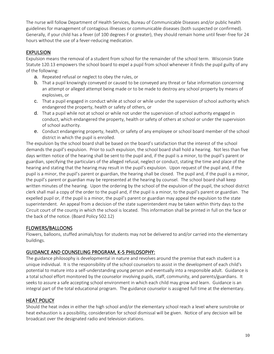The nurse will follow Department of Health Services, Bureau of Communicable Diseases and/or public health guidelines for management of contagious illnesses or communicable diseases (both suspected or confirmed). Generally, if your child has a fever (of 100 degrees F or greater), they should remain home until fever-free for 24 hours without the use of a fever-reducing medication.

# EXPULSION

Expulsion means the removal of a student from school for the remainder of the school term. Wisconsin State Statute 120.13 empowers the school board to expel a pupil from school whenever it finds the pupil guilty of any of the following:

- a. Repeated refusal or neglect to obey the rules, or
- b. That a pupil knowingly conveyed or caused to be conveyed any threat or false information concerning an attempt or alleged attempt being made or to be made to destroy any school property by means of explosives, or
- c. That a pupil engaged in conduct while at school or while under the supervision of school authority which endangered the property, health or safety of others, or
- d. That a pupil while not at school or while not under the supervision of school authority engaged in conduct, which endangered the property, health or safety of others at school or under the supervision of school authority.
- e. Conduct endangering property, health, or safety of any employee or school board member of the school district in which the pupil is enrolled.

The expulsion by the school board shall be based on the board's satisfaction that the interest of the school demands the pupil's expulsion. Prior to such expulsion, the school board shall hold a hearing. Not less than five days written notice of the hearing shall be sent to the pupil and, if the pupil is a minor, to the pupil's parent or guardian, specifying the particulars of the alleged refusal, neglect or conduct, stating the time and place of the hearing and stating that the hearing may result in the pupil's expulsion. Upon request of the pupil and, if the pupil is a minor, the pupil's parent or guardian, the hearing shall be closed. The pupil and, if the pupil is a minor, the pupil's parent or guardian may be represented at the hearing by counsel. The school board shall keep written minutes of the hearing. Upon the ordering by the school of the expulsion of the pupil, the school district clerk shall mail a copy of the order to the pupil and, if the pupil is a minor, to the pupil's parent or guardian. The expelled pupil or, if the pupil is a minor, the pupil's parent or guardian may appeal the expulsion to the state superintendent. An appeal from a decision of the state superintendent may be taken within thirty days to the Circuit court of the county in which the school is located. This information shall be printed in full on the face or the back of the notice. (Board Policy 502.12)

# FLOWERS/BALLOONS

Flowers, balloons, stuffed animals/toys for students may not be delivered to and/or carried into the elementary buildings.

# GUIDANCE AND COUNSELING PROGRAM, K-5 PHILOSOPHY:

The guidance philosophy is developmental in nature and revolves around the premise that each student is a unique individual. It is the responsibility of the school counselors to assist in the development of each child's potential to mature into a self-understanding young person and eventually into a responsible adult. Guidance is a total school effort monitored by the counselor involving pupils, staff, community, and parents/guardians. It seeks to assure a safe accepting school environment in which each child may grow and learn. Guidance is an integral part of the total educational program. The guidance counselor is assigned full time at the elementary.

# HEAT POLICY

Should the heat index in either the high school and/or the elementary school reach a level where sunstroke or heat exhaustion is a possibility, consideration for school dismissal will be given. Notice of any decision will be broadcast over the designated radio and television stations.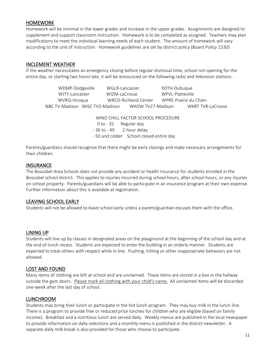#### HOMEWORK

Homework will be minimal in the lower grades and increase in the upper grades. Assignments are designed to supplement and support classroom instruction. Homework is to be completed as assigned. Teachers may plan modifications to meet the individual learning needs of each student. The amount of homework will vary according to the unit of instruction. Homework guidelines are set by district policy (Board Policy 2330)

#### INCLEMENT WEATHER

If the weather necessitates an emergency closing before regular dismissal time, school not opening for the entire day, or starting two hours late, it will be announced on the following radio and television stations:

| WDMP-Dodgeville                 | WGLR-Lancaster       | KDTH-Dubuque          |                   |
|---------------------------------|----------------------|-----------------------|-------------------|
| WJTY-Lancaster                  | WIZM-LaCrosse        | WPVI-Platteville      |                   |
| WVRQ-Viroqua                    | WRCO-Richland Center | WPRE-Prairie du Chien |                   |
| NBC TV-Madison WISC TV3-Madison |                      | WKOW TV27-Madison     | WKBT TV8-LaCrosse |
|                                 |                      |                       |                   |

WIND CHILL FACTOR SCHOOL PROCEDURE 0 to - 35 Regular day - 36 to - 49 2-hour delay - 50 and colder School closed entire day

Parents/guardians should recognize that there might be early closings and make necessary arrangements for their children.

#### **INSURANCE**

The Boscobel Area Schools does not provide any accident or health insurance for students enrolled in the Boscobel school district. This applies to injuries incurred during school hours, after school hours, or any injuries on school property. Parents/guardians will be able to participate in an insurance program at their own expense. Further information about this is available at registration.

#### LEAVING SCHOOL EARLY

Students will not be allowed to leave school early unless a parent/guardian excuses them with the office.

#### LINING UP

Students will line up by classes in designated areas on the playground at the beginning of the school day and at the end of lunch recess. Students are expected to enter the building in an orderly manner. Students are expected to treat others with respect while in line. Pushing, hitting or other inappropriate behaviors are not allowed.

#### LOST AND FOUND

Many items of clothing are left at school and are unclaimed. These items are stored in a box in the hallway outside the gym doors. Please mark all clothing with your child's name. All unclaimed items will be discarded one-week after the last day of school.

#### LUNCHROOM

Students may bring their lunch or participate in the hot lunch program. They may buy milk in the lunch line. There is a program to provide free or reduced price lunches for children who are eligible (based on family income). Breakfast and a nutritious lunch are served daily. Weekly menus are published in the local newspaper to provide information on daily selections and a monthly menu is published in the district newsletter. A separate daily milk break is also provided for those who choose to participate.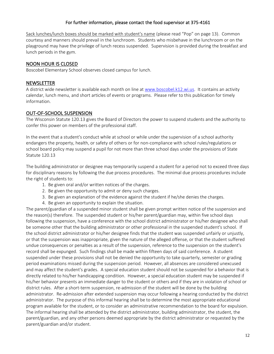#### For further information, please contact the food supervisor at 375-4161

Sack lunches/lunch boxes should be marked with student's name (please read "Pop" on page 13). Common courtesy and manners should prevail in the lunchroom. Students who misbehave in the lunchroom or on the playground may have the privilege of lunch recess suspended. Supervision is provided during the breakfast and lunch periods in the gym.

#### NOON HOUR IS CLOSED

Boscobel Elementary School observes closed campus for lunch.

#### **NEWSLETTER**

A district wide newsletter is available each month on line a[t www.boscobel.k12.wi.us.](http://www.boscobel.k12.wi.us/) It contains an activity calendar, lunch menu, and short articles of events or programs. Please refer to this publication for timely information.

#### OUT-OF-SCHOOL SUSPENSION

The Wisconsin Statute 120.13 gives the Board of Directors the power to suspend students and the authority to confer this power on members of the professional staff.

In the event that a student's conduct while at school or while under the supervision of a school authority endangers the property, health, or safety of others or for non-compliance with school rules/regulations or school board policy may suspend a pupil for not more than three school days under the provisions of State Statute 120.13

The building administrator or designee may temporarily suspend a student for a period not to exceed three days for disciplinary reasons by following the due process procedures. The minimal due process procedures include the right of students to:

- 1. Be given oral and/or written notices of the charges.
- 2. Be given the opportunity to admit or deny such charges.
- 3. Be given an explanation of the evidence against the student if he/she denies the charges.
- 4. Be given an opportunity to explain the situation.

The parent/guardian of a suspended minor student shall be given prompt written notice of the suspension and the reason(s) therefore. The suspended student or his/her parent/guardian may, within five school days following the suspension, have a conference with the school district administrator or his/her designee who shall be someone other that the building administrator or other professional in the suspended student's school. If the school district administrator or his/her designee finds that the student was suspended unfairly or unjustly, or that the suspension was inappropriate, given the nature of the alleged offense, or that the student suffered undue consequences or penalties as a result of the suspension, reference to the suspension on the student's record shall be expunged. Such findings shall be made within fifteen days of said conference. A student suspended under these provisions shall not be denied the opportunity to take quarterly, semester or grading period examinations missed during the suspension period. However, all absences are considered unexcused and may affect the student's grades. A special education student should not be suspended for a behavior that is directly related to his/her handicapping condition. However, a special education student may be suspended if his/her behavior presents an immediate danger to the student or others and if they are in violation of school or district rules. After a short-term suspension, re-admission of the student will be done by the building administrator. Re-admission after extended suspension may occur following a hearing conducted by the district administrator. The purpose of this informal hearing shall be to determine the most appropriate educational program available for the student, or to consider an administrative recommendation to the board for expulsion. The informal hearing shall be attended by the district administrator, building administrator, the student, the parent/guardian, and any other persons deemed appropriate by the district administrator or requested by the parent/guardian and/or student.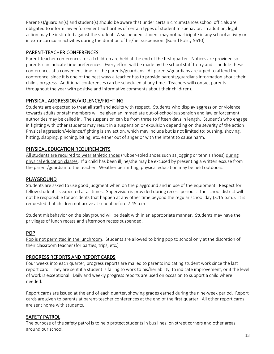Parent(s)/guardian(s) and student(s) should be aware that under certain circumstances school officials are obligated to inform law enforcement authorities of certain types of student misbehavior. In addition, legal action may be instituted against the student. A suspended student may not participate in any school activity or in extra-curricular activities during the duration of his/her suspension. (Board Policy 5610)

#### PARENT-TEACHER CONFERENCES

Parent-teacher conferences for all children are held at the end of the first quarter. Notices are provided so parents can indicate time preferences. Every effort will be made by the school staff to try and schedule these conferences at a convenient time for the parents/guardians. All parents/guardians are urged to attend the conference, since it is one of the best ways a teacher has to provide parents/guardians information about their child's progress. Additional conferences can be scheduled at any time. Teachers will contact parents throughout the year with positive and informative comments about their child(ren).

#### PHYSICAL AGGRESSION/VIOLENCE/FIGHTING

Students are expected to treat all staff and adults with respect. Students who display aggression or violence towards adults or staff members will be given an immediate out-of-school suspension and law enforcement authorities may be called in. The suspension can be from three to fifteen days in length. Student's who engage in fighting with other students may result in a suspension or expulsion depending on the severity of the action. Physical aggression/violence/fighting is any action, which may include but is not limited to: pushing, shoving, hitting, slapping, pinching, biting, etc. either out of anger or with the intent to cause harm.

#### PHYSICAL EDUCATION REQUIREMENTS

All students are required to wear athletic shoes (rubber-soled shoes such as jogging or tennis shoes) during physical education classes. If a child has been ill, he/she may be excused by presenting a written excuse from the parent/guardian to the teacher. Weather permitting, physical education may be held outdoors.

#### PLAYGROUND

Students are asked to use good judgment when on the playground and in use of the equipment. Respect for fellow students is expected at all times. Supervision is provided during recess periods. The school district will not be responsible for accidents that happen at any other time beyond the regular school day (3:15 p.m.). It is requested that children not arrive at school before 7:45 a.m.

Student misbehavior on the playground will be dealt with in an appropriate manner. Students may have the privileges of lunch recess and afternoon recess suspended.

#### POP

Pop is not permitted in the lunchroom. Students are allowed to bring pop to school only at the discretion of their classroom teacher (for parties, trips, etc.)

#### PROGRESS REPORTS AND REPORT CARDS

Four weeks into each quarter, progress reports are mailed to parents indicating student work since the last report card. They are sent if a student is failing to work to his/her ability, to indicate improvement, or if the level of work is exceptional. Daily and weekly progress reports are used on occasion to support a child where needed.

Report cards are issued at the end of each quarter, showing grades earned during the nine-week period. Report cards are given to parents at parent-teacher conferences at the end of the first quarter. All other report cards are sent home with students.

#### SAFETY PATROL

The purpose of the safety patrol is to help protect students in bus lines, on street corners and other areas around our school.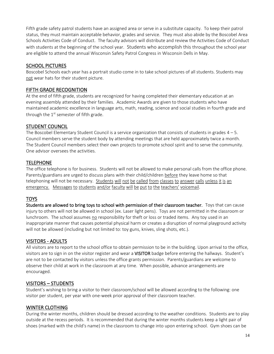Fifth grade safety patrol students have an assigned area or serve in a substitute capacity. To keep their patrol status, they must maintain acceptable behavior, grades and service. They must also abide by the Boscobel Area Schools Activities Code of Conduct. The faculty advisors will distribute and review the Activities Code of Conduct with students at the beginning of the school year. Students who accomplish this throughout the school year are eligible to attend the annual Wisconsin Safety Patrol Congress in Wisconsin Dells in May.

# SCHOOL PICTURES

Boscobel Schools each year has a portrait studio come in to take school pictures of all students. Students may not wear hats for their student picture.

#### FIFTH GRADE RECOGNITION

At the end of fifth grade, students are recognized for having completed their elementary education at an evening assembly attended by their families. Academic Awards are given to those students who have maintained academic excellence in language arts, math, reading, science and social studies in fourth grade and through the 1<sup>st</sup> semester of fifth grade.

# STUDENT COUNCIL

The Boscobel Elementary Student Council is a service organization that consists of students in grades  $4 - 5$ . Council members serve the student body by attending meetings that are held approximately twice a month. The Student Council members select their own projects to promote school spirit and to serve the community. One advisor oversees the activities.

# **TELEPHONE**

The office telephone is for business. Students will not be allowed to make personal calls from the office phone. Parents/guardians are urged to discuss plans with their child/children before they leave home so that telephoning will not be necessary. Students will not be called from classes to answer calls unless it is an emergency. Messages to students and/or faculty will be put to the teachers' voicemail.

# TOYS

Students are allowed to bring toys to school with permission of their classroom teacher. Toys that can cause injury to others will not be allowed in school (ex. Laser light pens). Toys are not permitted in the classroom or lunchroom. The school assumes no responsibility for theft or loss or traded items. Any toy used in an inappropriate manner that causes potential physical harm or creates a disruption of normal playground activity will not be allowed (including but not limited to: toy guns, knives, sling shots, etc.).

#### VISITORS - ADULTS

All visitors are to report to the school office to obtain permission to be in the building. Upon arrival to the office, visitors are to sign in on the visitor register and wear a VISITOR badge before entering the hallways. Student's are not to be contacted by visitors unless the office grants permission. Parents/guardians are welcome to observe their child at work in the classroom at any time. When possible, advance arrangements are encouraged.

#### VISITORS – STUDENTS

Student's wishing to bring a visitor to their classroom/school will be allowed according to the following: one visitor per student, per year with one-week prior approval of their classroom teacher.

# WINTER CLOTHING

During the winter months, children should be dressed according to the weather conditions. Students are to play outside at the recess periods. It is recommended that during the winter months students keep a light pair of shoes (marked with the child's name) in the classroom to change into upon entering school. Gym shoes can be